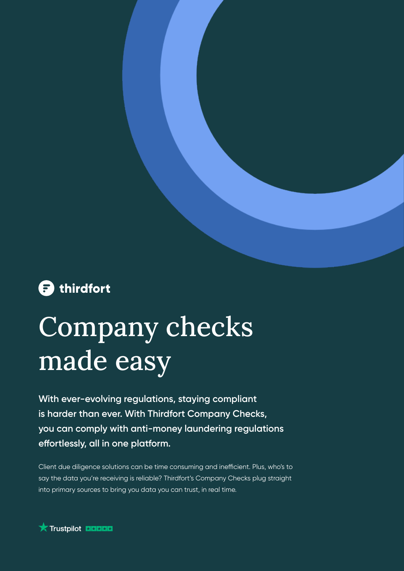

# Company checks made easy

**With ever-evolving regulations, staying compliant is harder than ever. With Thirdfort Company Checks, you can comply with anti-money laundering regulations effortlessly, all in one platform.**

Client due diligence solutions can be time consuming and inefficient. Plus, who's to say the data you're receiving is reliable? Thirdfort's Company Checks plug straight into primary sources to bring you data you can trust, in real time.

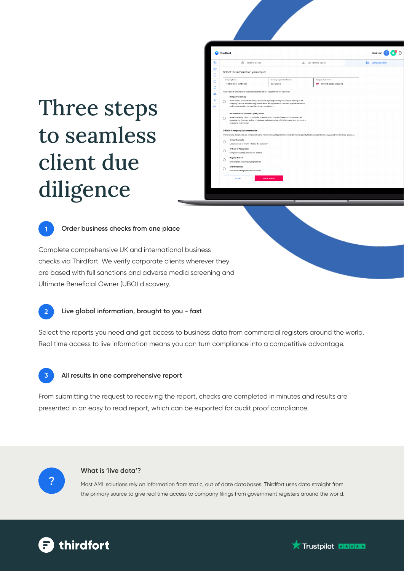### Three steps to seamless client due diligence





#### **Order business checks from one place**

Complete comprehensive UK and international business checks via Thirdfort. We verify corporate clients wherever they are based with full sanctions and adverse media screening and Ultimate Beneficial Owner (UBO) discovery.



Select the reports you need and get access to business data from commercial registers around the world. Real time access to live information means you can turn compliance into a competitive advantage.



#### **All results in one comprehensive report**

From submitting the request to receiving the report, checks are completed in minutes and results are presented in an easy to read report, which can be exported for audit proof compliance.



#### **What is 'live data'?**

Most AML solutions rely on information from static, out of date databases. Thirdfort uses data straight from the primary source to give real time access to company filings from government registers around the world.